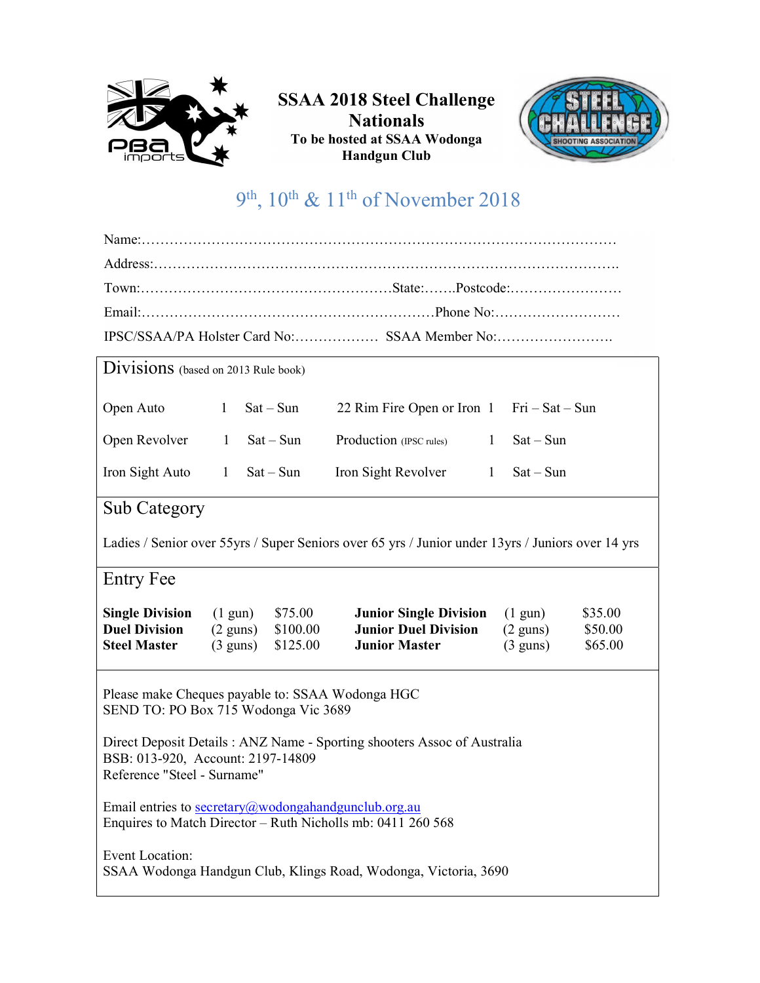

## SSAA 2018 Steel Challenge Nationals To be hosted at SSAA Wodonga Handgun Club



## 9<sup>th</sup>, 10<sup>th</sup> & 11<sup>th</sup> of November 2018

|                                                                       |                                                                                                  | IPSC/SSAA/PA Holster Card No: SSAA Member No:                                                       |                                                                                                |
|-----------------------------------------------------------------------|--------------------------------------------------------------------------------------------------|-----------------------------------------------------------------------------------------------------|------------------------------------------------------------------------------------------------|
|                                                                       | Divisions (based on 2013 Rule book)                                                              |                                                                                                     |                                                                                                |
| Open Auto                                                             | $Sat-Sun$<br>1                                                                                   | 22 Rim Fire Open or Iron $1$ Fri – Sat – Sun                                                        |                                                                                                |
| Open Revolver                                                         | $Sat - Sun$<br>$\mathbf{1}$                                                                      | Production (IPSC rules)<br>1                                                                        | $Sat - Sun$                                                                                    |
| Iron Sight Auto                                                       | $Sat-Sun$<br>$\mathbf{1}$                                                                        | Iron Sight Revolver<br>$\mathbf{1}$                                                                 | $Sat - Sun$                                                                                    |
| <b>Sub Category</b>                                                   |                                                                                                  |                                                                                                     |                                                                                                |
|                                                                       |                                                                                                  | Ladies / Senior over 55 yrs / Super Seniors over 65 yrs / Junior under 13 yrs / Juniors over 14 yrs |                                                                                                |
| Entry Fee                                                             |                                                                                                  |                                                                                                     |                                                                                                |
| <b>Single Division</b><br><b>Duel Division</b><br><b>Steel Master</b> | \$75.00<br>$(1 \text{ gun})$<br>\$100.00<br>$(2 \text{ guns})$<br>$(3 \text{ guns})$<br>\$125.00 | <b>Junior Single Division</b><br><b>Junior Duel Division</b><br><b>Junior Master</b>                | \$35.00<br>$(1 \text{ gun})$<br>\$50.00<br>$(2 \text{ guns})$<br>\$65.00<br>$(3 \text{ guns})$ |
|                                                                       | Please make Cheques payable to: SSAA Wodonga HGC<br>SEND TO: PO Box 715 Wodonga Vic 3689         |                                                                                                     |                                                                                                |
| Reference "Steel - Surname"                                           | BSB: 013-920, Account: 2197-14809                                                                | Direct Deposit Details: ANZ Name - Sporting shooters Assoc of Australia                             |                                                                                                |
|                                                                       | Email entries to secretary@wodongahandgunclub.org.au                                             | Enquires to Match Director - Ruth Nicholls mb: 0411 260 568                                         |                                                                                                |
| Event Location:                                                       |                                                                                                  | SSAA Wodonga Handgun Club, Klings Road, Wodonga, Victoria, 3690                                     |                                                                                                |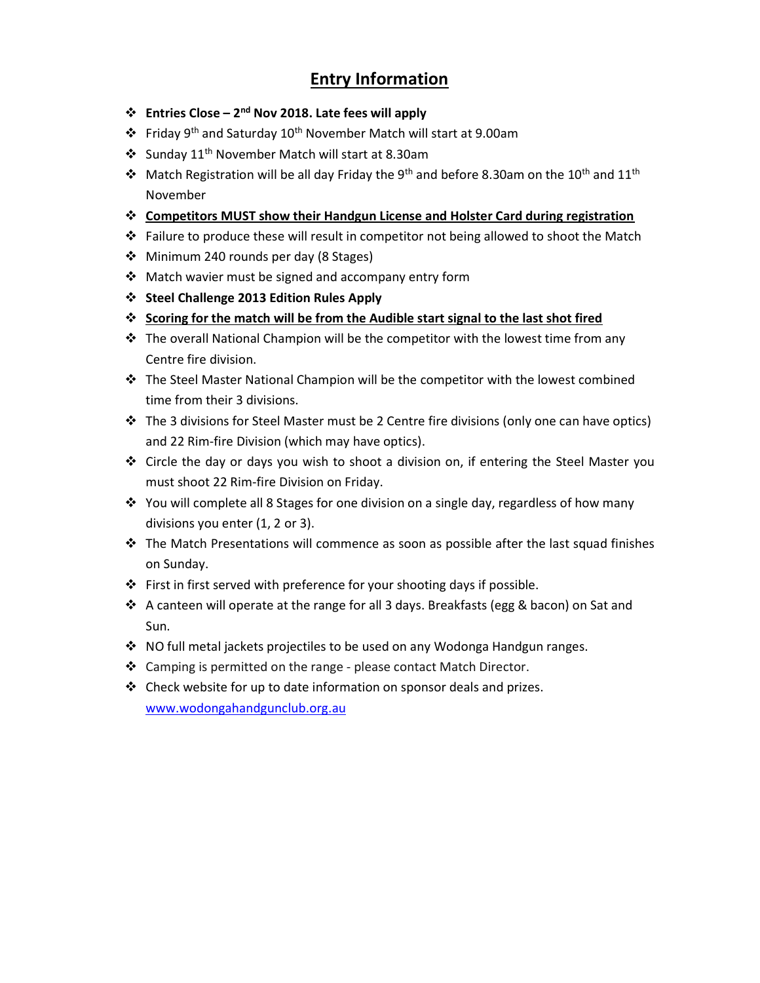## Entry Information

- $\div$  Entries Close 2<sup>nd</sup> Nov 2018. Late fees will apply
- Friday 9th and Saturday 10th November Match will start at 9.00am
- Sunday 11<sup>th</sup> November Match will start at 8.30am
- Match Registration will be all day Friday the 9<sup>th</sup> and before 8.30am on the 10<sup>th</sup> and 11<sup>th</sup> November
- Competitors MUST show their Handgun License and Holster Card during registration
- $\clubsuit$  Failure to produce these will result in competitor not being allowed to shoot the Match
- Minimum 240 rounds per day (8 Stages)
- Match wavier must be signed and accompany entry form
- Steel Challenge 2013 Edition Rules Apply
- $\diamond$  Scoring for the match will be from the Audible start signal to the last shot fired
- $\cdot \cdot$  The overall National Champion will be the competitor with the lowest time from any Centre fire division.
- The Steel Master National Champion will be the competitor with the lowest combined time from their 3 divisions.
- The 3 divisions for Steel Master must be 2 Centre fire divisions (only one can have optics) and 22 Rim-fire Division (which may have optics).
- Circle the day or days you wish to shoot a division on, if entering the Steel Master you must shoot 22 Rim-fire Division on Friday.
- $\dots$  You will complete all 8 Stages for one division on a single day, regardless of how many divisions you enter (1, 2 or 3).
- $\cdot \cdot$  The Match Presentations will commence as soon as possible after the last squad finishes on Sunday.
- First in first served with preference for your shooting days if possible.
- $\triangle$  A canteen will operate at the range for all 3 days. Breakfasts (egg & bacon) on Sat and Sun.
- NO full metal jackets projectiles to be used on any Wodonga Handgun ranges.
- ❖ Camping is permitted on the range please contact Match Director.
- $\cdot$  Check website for up to date information on sponsor deals and prizes. www.wodongahandgunclub.org.au